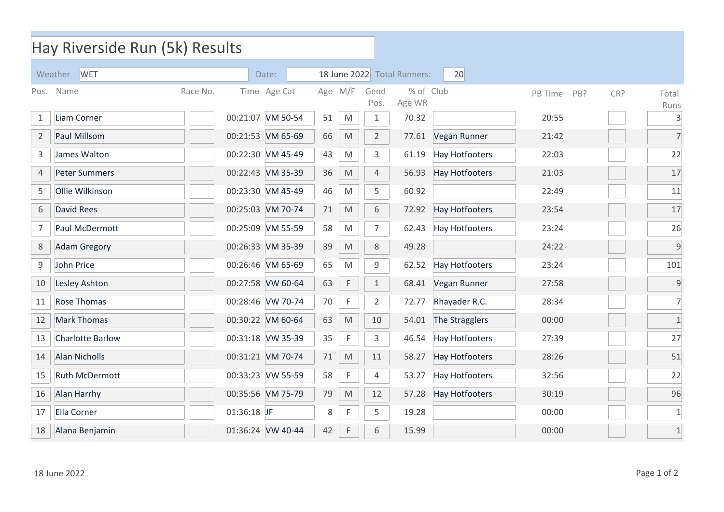| Hay Riverside Run (5k) Results |                         |             |                   |    |                                                                                                            |                                   |                     |                       |         |            |                      |  |  |
|--------------------------------|-------------------------|-------------|-------------------|----|------------------------------------------------------------------------------------------------------------|-----------------------------------|---------------------|-----------------------|---------|------------|----------------------|--|--|
| Weather<br><b>WET</b><br>Date: |                         |             |                   |    |                                                                                                            | 18 June 2022 Total Runners:<br>20 |                     |                       |         |            |                      |  |  |
| Pos.                           | Name                    | Race No.    | Time Age Cat      |    | Age M/F                                                                                                    | Gend<br>Pos.                      | % of Club<br>Age WR |                       | PB Time | CR?<br>PB? | Total                |  |  |
| 1                              | Liam Corner             |             | 00:21:07 VM 50-54 | 51 | M                                                                                                          | $\mathbf{1}$                      | 70.32               |                       | 20:55   |            | Runs<br>$\mathsf{3}$ |  |  |
| $\overline{2}$                 | Paul Millsom            |             | 00:21:53 VM 65-69 | 66 | $\mathsf{M}% _{T}=\mathsf{M}_{T}\!\left( a,b\right) ,\ \mathsf{M}_{T}=\mathsf{M}_{T}\!\left( a,b\right) ,$ | $\overline{2}$                    | 77.61               | Vegan Runner          | 21:42   |            | $\overline{7}$       |  |  |
| 3                              | James Walton            |             | 00:22:30 VM 45-49 | 43 | M                                                                                                          | 3                                 | 61.19               | <b>Hay Hotfooters</b> | 22:03   |            | 22                   |  |  |
| 4                              | <b>Peter Summers</b>    |             | 00:22:43 VM 35-39 | 36 | $\mathsf{M}% _{T}=\mathsf{M}_{T}\!\left( a,b\right) ,\ \mathsf{M}_{T}=\mathsf{M}_{T}\!\left( a,b\right) ,$ | 4                                 | 56.93               | <b>Hay Hotfooters</b> | 21:03   |            | 17                   |  |  |
| 5                              | Ollie Wilkinson         |             | 00:23:30 VM 45-49 | 46 | M                                                                                                          | 5                                 | 60.92               |                       | 22:49   |            | 11                   |  |  |
| 6                              | <b>David Rees</b>       |             | 00:25:03 VM 70-74 | 71 | $\mathsf{M}% _{T}=\mathsf{M}_{T}\!\left( a,b\right) ,\ \mathsf{M}_{T}=\mathsf{M}_{T}\!\left( a,b\right) ,$ | 6                                 | 72.92               | <b>Hay Hotfooters</b> | 23:54   |            | 17                   |  |  |
| 7                              | Paul McDermott          |             | 00:25:09 VM 55-59 | 58 | $\mathsf{M}% _{T}=\mathsf{M}_{T}\!\left( a,b\right) ,\ \mathsf{M}_{T}=\mathsf{M}_{T}\!\left( a,b\right) ,$ | $\overline{7}$                    | 62.43               | <b>Hay Hotfooters</b> | 23:24   |            | 26                   |  |  |
| 8                              | <b>Adam Gregory</b>     |             | 00:26:33 VM 35-39 | 39 | $\mathsf{M}% _{T}=\mathsf{M}_{T}\!\left( a,b\right) ,\ \mathsf{M}_{T}=\mathsf{M}_{T}\!\left( a,b\right) ,$ | 8                                 | 49.28               |                       | 24:22   |            | 9                    |  |  |
| 9                              | John Price              |             | 00:26:46 VM 65-69 | 65 | M                                                                                                          | 9                                 | 62.52               | <b>Hay Hotfooters</b> | 23:24   |            | 101                  |  |  |
| 10                             | Lesley Ashton           |             | 00:27:58 VW 60-64 | 63 | $\mathsf F$                                                                                                | $\mathbf{1}$                      | 68.41               | Vegan Runner          | 27:58   |            | $\mathsf g$          |  |  |
| 11                             | <b>Rose Thomas</b>      |             | 00:28:46 VW 70-74 | 70 | $\mathsf F$                                                                                                | $\overline{2}$                    | 72.77               | Rhayader R.C.         | 28:34   |            | $\overline{7}$       |  |  |
| 12                             | <b>Mark Thomas</b>      |             | 00:30:22 VM 60-64 | 63 | M                                                                                                          | 10                                | 54.01               | The Stragglers        | 00:00   |            | $\mathbf{1}$         |  |  |
| 13                             | <b>Charlotte Barlow</b> |             | 00:31:18 VW 35-39 | 35 | $\mathsf{F}$                                                                                               | 3                                 | 46.54               | <b>Hay Hotfooters</b> | 27:39   |            | 27                   |  |  |
| 14                             | <b>Alan Nicholls</b>    |             | 00:31:21 VM 70-74 | 71 | M                                                                                                          | 11                                | 58.27               | <b>Hay Hotfooters</b> | 28:26   |            | 51                   |  |  |
| 15                             | <b>Ruth McDermott</b>   |             | 00:33:23 VW 55-59 | 58 | $\mathsf F$                                                                                                | 4                                 | 53.27               | <b>Hay Hotfooters</b> | 32:56   |            | 22                   |  |  |
| 16                             | Alan Harrhy             |             | 00:35:56 VM 75-79 | 79 | M                                                                                                          | 12                                | 57.28               | <b>Hay Hotfooters</b> | 30:19   |            | 96                   |  |  |
| 17                             | <b>Ella Corner</b>      | 01:36:18 JF |                   | 8  | F                                                                                                          | 5                                 | 19.28               |                       | 00:00   |            | $1\,$                |  |  |
| 18                             | Alana Benjamin          |             | 01:36:24 VW 40-44 | 42 | $\mathsf F$                                                                                                | 6                                 | 15.99               |                       | 00:00   |            | $\mathbf{1}$         |  |  |